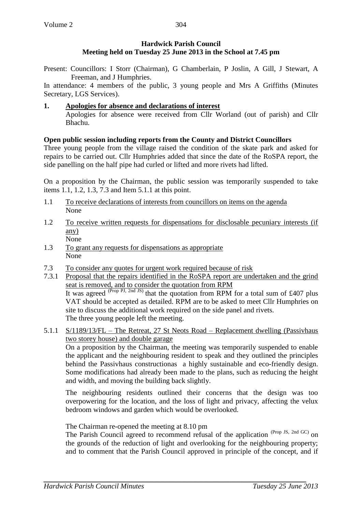# **Hardwick Parish Council Meeting held on Tuesday 25 June 2013 in the School at 7.45 pm**

Present: Councillors: I Storr (Chairman), G Chamberlain, P Joslin, A Gill, J Stewart, A Freeman, and J Humphries.

In attendance: 4 members of the public, 3 young people and Mrs A Griffiths (Minutes Secretary, LGS Services).

# **1. Apologies for absence and declarations of interest**

Apologies for absence were received from Cllr Worland (out of parish) and Cllr Bhachu.

# **Open public session including reports from the County and District Councillors**

Three young people from the village raised the condition of the skate park and asked for repairs to be carried out. Cllr Humphries added that since the date of the RoSPA report, the side panelling on the half pipe had curled or lifted and more rivets had lifted.

On a proposition by the Chairman, the public session was temporarily suspended to take items 1.1, 1.2, 1.3, 7.3 and Item 5.1.1 at this point.

- 1.1 To receive declarations of interests from councillors on items on the agenda None
- 1.2 To receive written requests for dispensations for disclosable pecuniary interests (if any) None
- 1.3 To grant any requests for dispensations as appropriate None
- 7.3 To consider any quotes for urgent work required because of risk
- 7.3.1 Proposal that the repairs identified in the RoSPA report are undertaken and the grind seat is removed, and to consider the quotation from RPM It was agreed  $(Prop \, PI, 2nd \, JS)$  that the quotation from RPM for a total sum of £407 plus VAT should be accepted as detailed. RPM are to be asked to meet Cllr Humphries on site to discuss the additional work required on the side panel and rivets. The three young people left the meeting.
- 5.1.1 S/1189/13/FL The Retreat, 27 St Neots Road Replacement dwelling (Passivhaus two storey house) and double garage

On a proposition by the Chairman, the meeting was temporarily suspended to enable the applicant and the neighbouring resident to speak and they outlined the principles behind the Passivhaus constructionas a highly sustainable and eco-friendly design. Some modifications had already been made to the plans, such as reducing the height and width, and moving the building back slightly.

The neighbouring residents outlined their concerns that the design was too overpowering for the location, and the loss of light and privacy, affecting the velux bedroom windows and garden which would be overlooked.

The Chairman re-opened the meeting at 8.10 pm

The Parish Council agreed to recommend refusal of the application (Prop JS, 2nd GC) on the grounds of the reduction of light and overlooking for the neighbouring property; and to comment that the Parish Council approved in principle of the concept, and if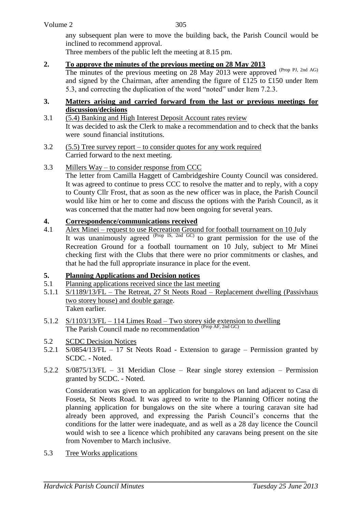any subsequent plan were to move the building back, the Parish Council would be inclined to recommend approval.

Three members of the public left the meeting at 8.15 pm.

#### **2. To approve the minutes of the previous meeting on 28 May 2013**

The minutes of the previous meeting on 28 May 2013 were approved (Prop PJ, 2nd AG) and signed by the Chairman, after amending the figure of £125 to £150 under Item 5.3, and correcting the duplication of the word "noted" under Item 7.2.3.

#### **3. Matters arising and carried forward from the last or previous meetings for discussion/decisions**

- 3.1 (5.4) Banking and High Interest Deposit Account rates review It was decided to ask the Clerk to make a recommendation and to check that the banks were sound financial institutions.
- 3.2 (5.5) Tree survey report to consider quotes for any work required Carried forward to the next meeting.
- 3.3 Millers Way to consider response from CCC

The letter from Camilla Haggett of Cambridgeshire County Council was considered. It was agreed to continue to press CCC to resolve the matter and to reply, with a copy to County Cllr Frost, that as soon as the new officer was in place, the Parish Council would like him or her to come and discuss the options with the Parish Council, as it was concerned that the matter had now been ongoing for several years.

### **4. Correspondence/communications received**

4.1 Alex Minei – request to use Recreation Ground for football tournament on 10 July It was unanimously agreed  $(Prop \text{IS, 2nd GC})$  to grant permission for the use of the Recreation Ground for a football tournament on 10 July, subject to Mr Minei checking first with the Clubs that there were no prior commitments or clashes, and that he had the full appropriate insurance in place for the event.

### **5. Planning Applications and Decision notices**

- 5.1 Planning applications received since the last meeting
- 5.1.1 S/1189/13/FL The Retreat, 27 St Neots Road Replacement dwelling (Passivhaus two storey house) and double garage. Taken earlier.
- 5.1.2 S/1103/13/FL 114 Limes Road Two storey side extension to dwelling The Parish Council made no recommendation (Prop AF, 2nd GC)
- 5.2 SCDC Decision Notices
- 5.2.1 S/0854/13/FL 17 St Neots Road Extension to garage Permission granted by SCDC. - Noted.
- 5.2.2 S/0875/13/FL 31 Meridian Close Rear single storey extension Permission granted by SCDC. - Noted.

Consideration was given to an application for bungalows on land adjacent to Casa di Foseta, St Neots Road. It was agreed to write to the Planning Officer noting the planning application for bungalows on the site where a touring caravan site had already been approved, and expressing the Parish Council's concerns that the conditions for the latter were inadequate, and as well as a 28 day licence the Council would wish to see a licence which prohibited any caravans being present on the site from November to March inclusive.

5.3 Tree Works applications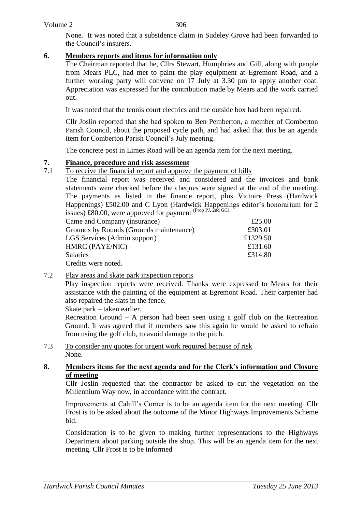306

None. It was noted that a subsidence claim in Sudeley Grove had been forwarded to the Council's insurers.

## **6. Members reports and items for information only**

The Chairman reported that he, Cllrs Stewart, Humphries and Gill, along with people from Mears PLC, had met to paint the play equipment at Egremont Road, and a further working party will convene on 17 July at 3.30 pm to apply another coat. Appreciation was expressed for the contribution made by Mears and the work carried out.

It was noted that the tennis court electrics and the outside box had been repaired.

Cllr Joslin reported that she had spoken to Ben Pemberton, a member of Comberton Parish Council, about the proposed cycle path, and had asked that this be an agenda item for Comberton Parish Council's July meeting.

The concrete post in Limes Road will be an agenda item for the next meeting.

# **7. Finance, procedure and risk assessment**<br>**7.1** To receive the financial report and approve

#### To receive the financial report and approve the payment of bills

The financial report was received and considered and the invoices and bank statements were checked before the cheques were signed at the end of the meeting. The payments as listed in the finance report, plus Victoire Press (Hardwick Happenings) £502.00 and C Lyon (Hardwick Happenings editor's honorarium for 2 issues)  $\overline{260.00}$ , were approved for payment (Prop PJ, 2nd GC).

| Came and Company (insurance)            | £25.00   |
|-----------------------------------------|----------|
| Grounds by Rounds (Grounds maintenance) | £303.01  |
| LGS Services (Admin support)            | £1329.50 |
| HMRC (PAYE/NIC)                         | £131.60  |
| Salaries                                | £314.80  |
| Credits were noted.                     |          |

### 7.2 Play areas and skate park inspection reports

Play inspection reports were received. Thanks were expressed to Mears for their assistance with the painting of the equipment at Egremont Road. Their carpenter had also repaired the slats in the fence.

Skate park – taken earlier.

Recreation Ground – A person had been seen using a golf club on the Recreation Ground. It was agreed that if members saw this again he would be asked to refrain from using the golf club, to avoid damage to the pitch.

7.3 To consider any quotes for urgent work required because of risk None.

#### **8. Members items for the next agenda and for the Clerk's information and Closure of meeting**

Cllr Joslin requested that the contractor be asked to cut the vegetation on the Millennium Way now, in accordance with the contract.

Improvements at Cahill's Corner is to be an agenda item for the next meeting. Cllr Frost is to be asked about the outcome of the Minor Highways Improvements Scheme bid.

Consideration is to be given to making further representations to the Highways Department about parking outside the shop. This will be an agenda item for the next meeting. Cllr Frost is to be informed